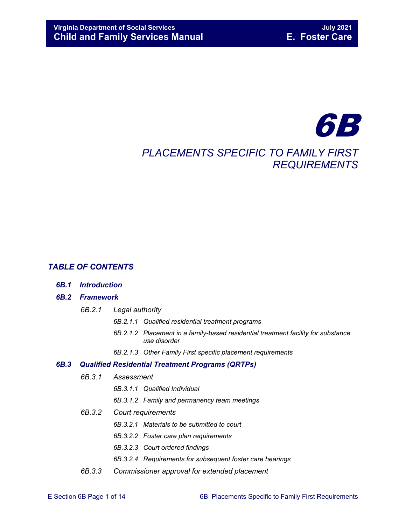# 6B *PLACEMENTS SPECIFIC TO FAMILY FIRST REQUIREMENTS*

#### *TABLE OF CONTENTS*

*6B.1 [Introduction](#page-2-0)*

#### *6B.2 [Framework](#page-3-0)*

- *6B.2.1 [Legal authority](#page-4-0)*
	- *6B.2.1.1 [Qualified residential treatment programs](#page-4-1)*
	- *6B.2.1.2 [Placement in a family-based residential treatment facility](#page-5-0) for substance [use disorder](#page-5-0)*
	- *6B.2.1.3 [Other Family First specific placement requirements](#page-5-1)*

#### *6B.3 [Qualified Residential Treatment Programs \(QRTPs\)](#page-5-2)*

- *6B.3.1 [Assessment](#page-6-0)*
	- *6B.3.1.1 [Qualified Individual](#page-6-1)*
	- *6B.3.1.2 [Family and permanency team meetings](#page-8-0)*
- *6B.3.2 [Court requirements](#page-8-1)*
	- *6B.3.2.1 [Materials to be submitted to court](#page-8-2)*
	- *6B.3.2.2 [Foster care plan requirements](#page-9-0)*
	- *6B.3.2.3 [Court ordered findings](#page-10-0)*
	- *6B.3.2.4 [Requirements for subsequent foster care hearings](#page-11-0)*
- *6B.3.3 [Commissioner approval for extended placement](#page-11-1)*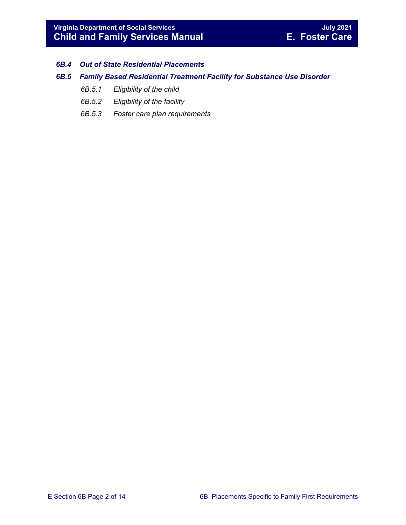#### *6B.4 [Out of State Residential Placements](#page-12-0)*

#### *6B.5 [Family Based Residential Treatment Facility for Substance Use Disorder](#page-12-1)*

- *6B.5.1 [Eligibility of the child](#page-12-2)*
- *6B.5.2 [Eligibility of the facility](#page-13-0)*
- *6B.5.3 [Foster care plan requirements](#page-13-1)*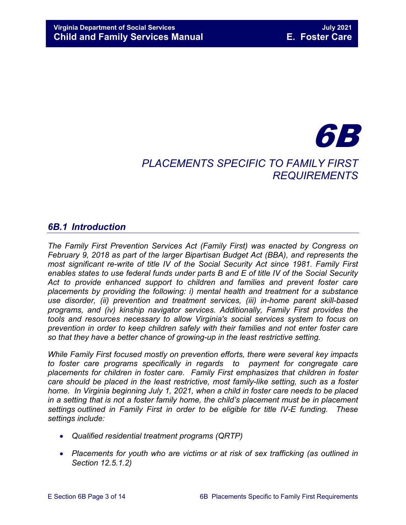# 6B

# *PLACEMENTS SPECIFIC TO FAMILY FIRST REQUIREMENTS*

# <span id="page-2-0"></span>*6B.1 Introduction*

*The Family First Prevention Services Act (Family First) was enacted by Congress on February 9, 2018 as part of the larger Bipartisan Budget Act (BBA), and represents the most significant re-write of title IV of the Social Security Act since 1981. Family First enables states to use federal funds under parts B and E of title IV of the Social Security Act to provide enhanced support to children and families and prevent foster care placements by providing the following: i) mental health and treatment for a substance use disorder, (ii) prevention and treatment services, (iii) in-home parent skill-based programs, and (iv) kinship navigator services. Additionally, Family First provides the tools and resources necessary to allow Virginia's social services system to focus on prevention in order to keep children safely with their families and not enter foster care so that they have a better chance of growing-up in the least restrictive setting.*

*While Family First focused mostly on prevention efforts, there were several key impacts to foster care programs specifically in regards to payment for congregate care placements for children in foster care. Family First emphasizes that children in foster care should be placed in the least restrictive, most family-like setting, such as a foster home. In Virginia beginning July 1, 2021, when a child in foster care needs to be placed in a setting that is not a foster family home, the child's placement must be in placement settings outlined in Family First in order to be eligible for title IV-E funding. These settings include:* 

- *Qualified residential treatment programs (QRTP)*
- *Placements for youth who are victims or at risk of sex trafficking (as outlined in Section 12.5.1.2)*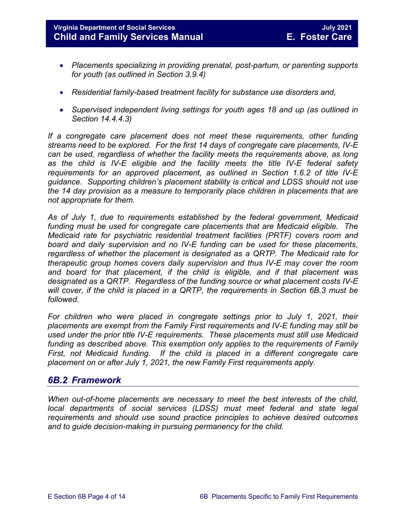**Virginia Department of Social Services July 2021 Child and Family Services Manual** 

- *Placements specializing in providing prenatal, post-partum, or parenting supports for youth (as outlined in Section 3.9.4)*
- *Residential family-based treatment facility for substance use disorders and,*
- *Supervised independent living settings for youth ages 18 and up (as outlined in Section 14.4.4.3)*

*If a congregate care placement does not meet these requirements, other funding streams need to be explored. For the first 14 days of congregate care placements, IV-E can be used, regardless of whether the facility meets the requirements above, as long as the child is IV-E eligible and the facility meets the title IV-E federal safety requirements for an approved placement, as outlined in Section 1.6.2 of title IV-E guidance. Supporting children's placement stability is critical and LDSS should not use the 14 day provision as a measure to temporarily place children in placements that are not appropriate for them.*

*As of July 1, due to requirements established by the federal government, Medicaid funding must be used for congregate care placements that are Medicaid eligible. The Medicaid rate for psychiatric residential treatment facilities (PRTF) covers room and board and daily supervision and no IV-E funding can be used for these placements, regardless of whether the placement is designated as a QRTP. The Medicaid rate for therapeutic group homes covers daily supervision and thus IV-E may cover the room and board for that placement, if the child is eligible, and if that placement was designated as a QRTP. Regardless of the funding source or what placement costs IV-E will cover, if the child is placed in a QRTP, the requirements in Section 6B.3 must be followed.*

*For children who were placed in congregate settings prior to July 1, 2021, their placements are exempt from the Family First requirements and IV-E funding may still be used under the prior title IV-E requirements. These placements must still use Medicaid funding as described above. This exemption only applies to the requirements of Family First, not Medicaid funding. If the child is placed in a different congregate care placement on or after July 1, 2021, the new Family First requirements apply.*

# <span id="page-3-0"></span>*6B.2 Framework*

*When out-of-home placements are necessary to meet the best interests of the child, local departments of social services (LDSS) must meet federal and state legal requirements and should use sound practice principles to achieve desired outcomes and to guide decision-making in pursuing permanency for the child.*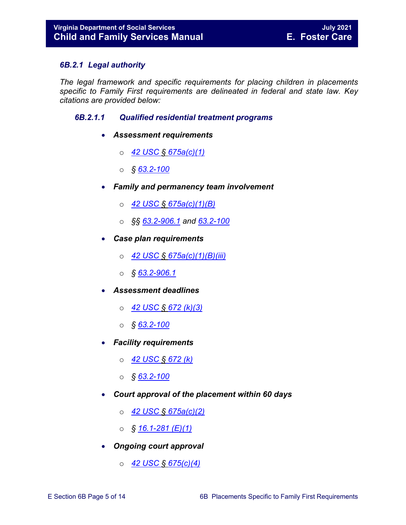#### <span id="page-4-0"></span>*6B.2.1 Legal authority*

*The legal framework and specific requirements for placing children in placements specific to Family First requirements are delineated in federal and state law. Key citations are provided below:*

#### <span id="page-4-1"></span>*6B.2.1.1 Qualified residential treatment programs*

- *Assessment requirements*
	- o *[42 USC § 675a\(c\)\(1\)](https://uscode.house.gov/view.xhtml?req=(title:42%20section:675a%20edition:prelim))*
	- o *§ [63.2-100](https://law.lis.virginia.gov/vacode/63.2-100/)*
- *Family and permanency team involvement*
	- o *[42 USC § 675a\(c\)\(1\)\(B\)](https://uscode.house.gov/view.xhtml?req=(title:42%20section:675a%20edition:prelim))*
	- o *§§ [63.2-906.1](https://law.lis.virginia.gov/vacode/title63.2/chapter9/section63.2-906.1/) and [63.2-100](https://law.lis.virginia.gov/vacode/63.2-100/)*
- *Case plan requirements*
	- o *[42 USC § 675a\(c\)\(1\)\(B\)\(iii\)](https://uscode.house.gov/view.xhtml?req=(title:42%20section:675a%20edition:prelim))*
	- o *§ [63.2-906.1](https://law.lis.virginia.gov/vacode/title63.2/chapter9/section63.2-906.1/)*
- *Assessment deadlines*
	- o *[42 USC § 672 \(k\)\(3\)](https://uscode.house.gov/view.xhtml?req=(title:42%20section:672%20edition:prelim))*
	- o *§ [63.2-100](https://law.lis.virginia.gov/vacode/63.2-100/)*
- *Facility requirements*
	- o *[42 USC](https://uscode.house.gov/view.xhtml?req=(title:42%20section:672%20edition:prelim)) § 672 (k)*
	- o *§ [63.2-100](https://law.lis.virginia.gov/vacode/63.2-100/)*
- *Court approval of the placement within 60 days*
	- o *42 USC § [675a\(c\)\(2\)](https://uscode.house.gov/view.xhtml?req=(title:42%20section:675a%20edition:prelim))*
	- o *§ [16.1-281 \(E\)\(1\)](https://law.lis.virginia.gov/vacode/16.1-281/)*
- *Ongoing court approval*
	- o *[42 USC § 675\(c\)\(4\)](https://uscode.house.gov/view.xhtml?req=(title:42%20section:675a%20edition:prelim))*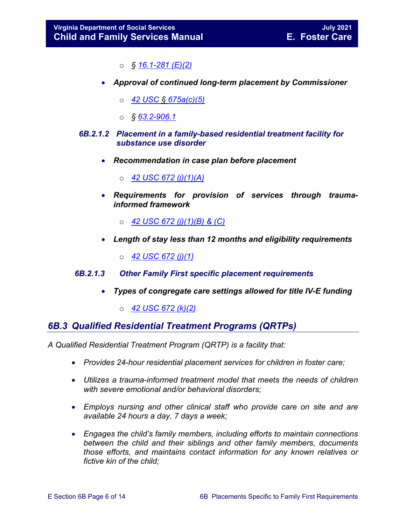- o *§ [16.1-281 \(E\)\(2\)](https://law.lis.virginia.gov/vacode/16.1-281/)*
- *Approval of continued long-term placement by Commissioner*
	- o *[42 USC § 675a\(c\)\(5\)](https://uscode.house.gov/view.xhtml?req=(title:42%20section:675a%20edition:prelim))*
	- o *§ [63.2-906.1](https://law.lis.virginia.gov/vacode/title63.2/chapter9/section63.2-906.1/)*
- <span id="page-5-0"></span>*6B.2.1.2 Placement in a family-based residential treatment facility for substance use disorder*
	- *Recommendation in case plan before placement* 
		- o *[42 USC 672 \(j\)\(1\)\(A\)](https://uscode.house.gov/view.xhtml?req=(title:42%20section:672%20edition:prelim))*
	- *Requirements for provision of services through traumainformed framework* 
		- o *[42 USC 672 \(j\)\(1\)\(B\) & \(C\)](https://uscode.house.gov/view.xhtml?req=(title:42%20section:672%20edition:prelim))*
	- *Length of stay less than 12 months and eligibility requirements* 
		- o *[42 USC 672 \(j\)\(1\)](https://uscode.house.gov/view.xhtml?req=(title:42%20section:672%20edition:prelim))*
- <span id="page-5-1"></span>*6B.2.1.3 Other Family First specific placement requirements*
	- *Types of congregate care settings allowed for title IV-E funding*
		- o *[42 USC 672 \(k\)\(2\)](https://uscode.house.gov/view.xhtml?req=(title:42%20section:672%20edition:prelim))*

# <span id="page-5-2"></span>*6B.3 Qualified Residential Treatment Programs (QRTPs)*

*A Qualified Residential Treatment Program (QRTP) is a facility that:*

- *Provides 24-hour residential placement services for children in foster care;*
- *Utilizes a trauma-informed treatment model that meets the needs of children with severe emotional and/or behavioral disorders;*
- *Employs nursing and other clinical staff who provide care on site and are available 24 hours a day, 7 days a week;*
- *Engages the child's family members, including efforts to maintain connections between the child and their siblings and other family members, documents those efforts, and maintains contact information for any known relatives or fictive kin of the child;*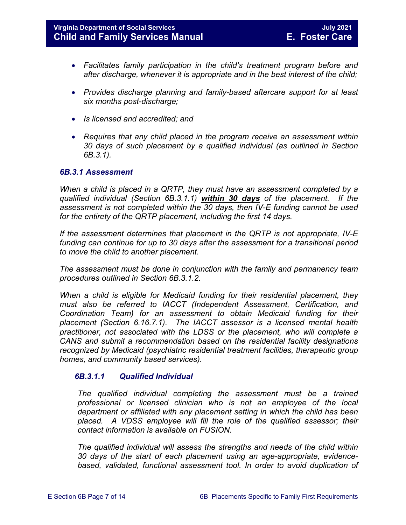- *Facilitates family participation in the child's treatment program before and after discharge, whenever it is appropriate and in the best interest of the child;*
- *Provides discharge planning and family-based aftercare support for at least six months post-discharge;*
- *Is licensed and accredited; and*
- *Requires that any child placed in the program receive an assessment within 30 days of such placement by a qualified individual (as outlined in Section 6B.3.1).*

#### <span id="page-6-0"></span>*6B.3.1 Assessment*

*When a child is placed in a QRTP, they must have an assessment completed by a qualified individual (Section 6B.3.1.1) within 30 days of the placement. If the assessment is not completed within the 30 days, then IV-E funding cannot be used for the entirety of the QRTP placement, including the first 14 days.* 

*If the assessment determines that placement in the QRTP is not appropriate, IV-E funding can continue for up to 30 days after the assessment for a transitional period to move the child to another placement.* 

*The assessment must be done in conjunction with the family and permanency team procedures outlined in Section 6B.3.1.2.* 

*When a child is eligible for Medicaid funding for their residential placement, they must also be referred to IACCT (Independent Assessment, Certification, and Coordination Team) for an assessment to obtain Medicaid funding for their placement (Section 6.16.7.1). The IACCT assessor is a licensed mental health practitioner, not associated with the LDSS or the placement, who will complete a CANS and submit a recommendation based on the residential facility designations recognized by Medicaid (psychiatric residential treatment facilities, therapeutic group homes, and community based services).* 

#### <span id="page-6-1"></span>*6B.3.1.1 Qualified Individual*

*The qualified individual completing the assessment must be a trained professional or licensed clinician who is not an employee of the local department or affiliated with any placement setting in which the child has been placed. A VDSS employee will fill the role of the qualified assessor; their contact information is available on FUSION.* 

*The qualified individual will assess the strengths and needs of the child within 30 days of the start of each placement using an age-appropriate, evidence*based, validated, functional assessment tool. In order to avoid duplication of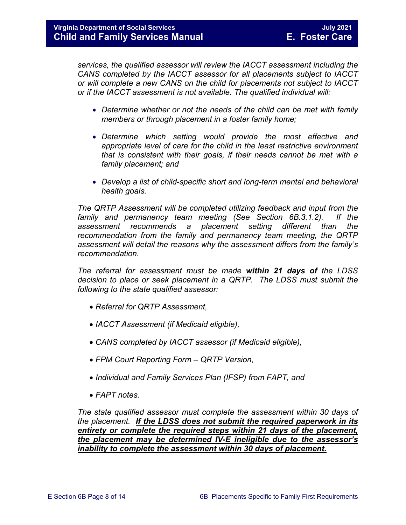*services, the qualified assessor will review the IACCT assessment including the CANS completed by the IACCT assessor for all placements subject to IACCT or will complete a new CANS on the child for placements not subject to IACCT or if the IACCT assessment is not available. The qualified individual will:* 

- *Determine whether or not the needs of the child can be met with family members or through placement in a foster family home;*
- *Determine which setting would provide the most effective and appropriate level of care for the child in the least restrictive environment that is consistent with their goals, if their needs cannot be met with a family placement; and*
- *Develop a list of child-specific short and long-term mental and behavioral health goals.*

*The QRTP Assessment will be completed utilizing feedback and input from the family and permanency team meeting (See Section 6B.3.1.2). If the assessment recommends a placement setting different than the recommendation from the family and permanency team meeting, the QRTP assessment will detail the reasons why the assessment differs from the family's recommendation.*

*The referral for assessment must be made within 21 days of the LDSS decision to place or seek placement in a QRTP. The LDSS must submit the following to the state qualified assessor:*

- *Referral for QRTP Assessment,*
- *IACCT Assessment (if Medicaid eligible),*
- *CANS completed by IACCT assessor (if Medicaid eligible),*
- *FPM Court Reporting Form QRTP Version,*
- *Individual and Family Services Plan (IFSP) from FAPT, and*
- *FAPT notes.*

*The state qualified assessor must complete the assessment within 30 days of the placement. If the LDSS does not submit the required paperwork in its entirety or complete the required steps within 21 days of the placement, the placement may be determined IV-E ineligible due to the assessor's inability to complete the assessment within 30 days of placement.*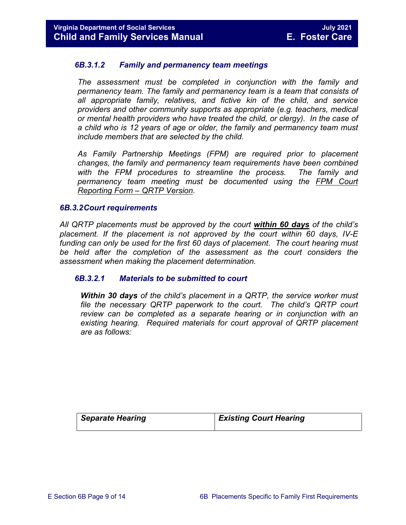#### <span id="page-8-0"></span>*6B.3.1.2 Family and permanency team meetings*

*The assessment must be completed in conjunction with the family and permanency team. The family and permanency team is a team that consists of all appropriate family, relatives, and fictive kin of the child, and service providers and other community supports as appropriate (e.g. teachers, medical or mental health providers who have treated the child, or clergy). In the case of a child who is 12 years of age or older, the family and permanency team must include members that are selected by the child.* 

*As Family Partnership Meetings (FPM) are required prior to placement changes, the family and permanency team requirements have been combined with the FPM procedures to streamline the process. The family and permanency team meeting must be documented using the FPM Court Reporting Form – QRTP Version.* 

#### <span id="page-8-1"></span>*6B.3.2Court requirements*

*All QRTP placements must be approved by the court within 60 days of the child's placement. If the placement is not approved by the court within 60 days, IV-E*  funding can only be used for the first 60 days of placement. The court hearing must be held after the completion of the assessment as the court considers the *assessment when making the placement determination.* 

#### <span id="page-8-2"></span>*6B.3.2.1 Materials to be submitted to court*

*Within 30 days of the child's placement in a QRTP, the service worker must file the necessary QRTP paperwork to the court. The child's QRTP court review can be completed as a separate hearing or in conjunction with an existing hearing. Required materials for court approval of QRTP placement are as follows:*

| Separate Hearing | <b>Existing Court Hearing</b> |
|------------------|-------------------------------|
|                  |                               |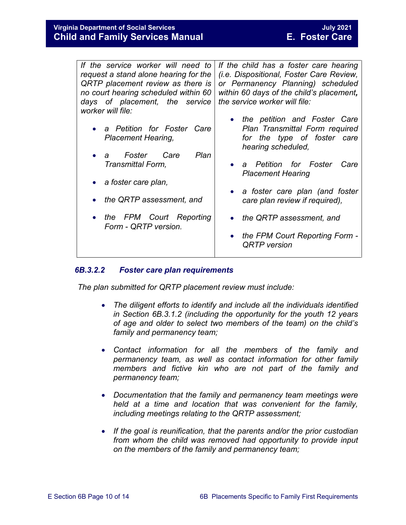| If the service worker will need to<br>request a stand alone hearing for the<br>QRTP placement review as there is<br>no court hearing scheduled within 60<br>days of placement, the service<br>worker will file: | If the child has a foster care hearing<br><i>(i.e. Dispositional, Foster Care Review,</i><br>or Permanency Planning) scheduled<br>within 60 days of the child's placement,<br>the service worker will file: |
|-----------------------------------------------------------------------------------------------------------------------------------------------------------------------------------------------------------------|-------------------------------------------------------------------------------------------------------------------------------------------------------------------------------------------------------------|
| a Petition for Foster Care<br><b>Placement Hearing,</b>                                                                                                                                                         | the petition and Foster Care<br>Plan Transmittal Form required<br>for the type of foster care<br>hearing scheduled,                                                                                         |
| Plan<br>Foster<br>Care<br>a<br>Transmittal Form,                                                                                                                                                                | a Petition for Foster<br>Care<br><b>Placement Hearing</b>                                                                                                                                                   |
| a foster care plan,<br>the QRTP assessment, and                                                                                                                                                                 | • a foster care plan (and foster<br>care plan review if required),                                                                                                                                          |
| the FPM Court Reporting                                                                                                                                                                                         | the QRTP assessment, and                                                                                                                                                                                    |
| Form - QRTP version.                                                                                                                                                                                            | the FPM Court Reporting Form -<br><b>QRTP</b> version                                                                                                                                                       |
|                                                                                                                                                                                                                 |                                                                                                                                                                                                             |

#### <span id="page-9-0"></span>*6B.3.2.2 Foster care plan requirements*

*The plan submitted for QRTP placement review must include:*

- *The diligent efforts to identify and include all the individuals identified in Section 6B.3.1.2 (including the opportunity for the youth 12 years of age and older to select two members of the team) on the child's family and permanency team;*
- *Contact information for all the members of the family and permanency team, as well as contact information for other family members and fictive kin who are not part of the family and permanency team;*
- *Documentation that the family and permanency team meetings were held at a time and location that was convenient for the family, including meetings relating to the QRTP assessment;*
- *If the goal is reunification, that the parents and/or the prior custodian from whom the child was removed had opportunity to provide input on the members of the family and permanency team;*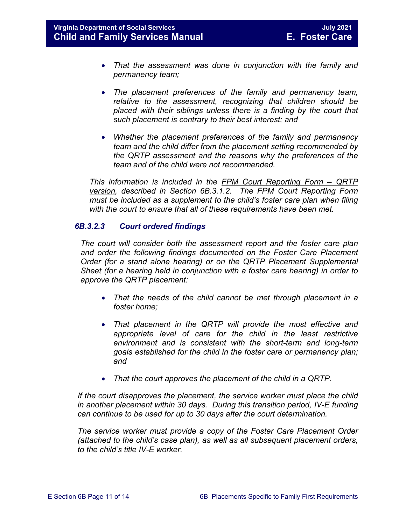- *That the assessment was done in conjunction with the family and permanency team;*
- *The placement preferences of the family and permanency team, relative to the assessment, recognizing that children should be placed with their siblings unless there is a finding by the court that such placement is contrary to their best interest; and*
- *Whether the placement preferences of the family and permanency team and the child differ from the placement setting recommended by the QRTP assessment and the reasons why the preferences of the team and of the child were not recommended.*

*This information is included in the FPM Court Reporting Form – QRTP version, described in Section 6B.3.1.2. The FPM Court Reporting Form must be included as a supplement to the child's foster care plan when filing with the court to ensure that all of these requirements have been met.* 

#### <span id="page-10-0"></span>*6B.3.2.3 Court ordered findings*

*The court will consider both the assessment report and the foster care plan and order the following findings documented on the Foster Care Placement Order (for a stand alone hearing) or on the QRTP Placement Supplemental Sheet (for a hearing held in conjunction with a foster care hearing) in order to approve the QRTP placement:*

- *That the needs of the child cannot be met through placement in a foster home;*
- *That placement in the QRTP will provide the most effective and appropriate level of care for the child in the least restrictive environment and is consistent with the short-term and long-term goals established for the child in the foster care or permanency plan; and*
- *That the court approves the placement of the child in a QRTP.*

*If the court disapproves the placement, the service worker must place the child in another placement within 30 days. During this transition period, IV-E funding can continue to be used for up to 30 days after the court determination.* 

*The service worker must provide a copy of the Foster Care Placement Order (attached to the child's case plan), as well as all subsequent placement orders, to the child's title IV-E worker.*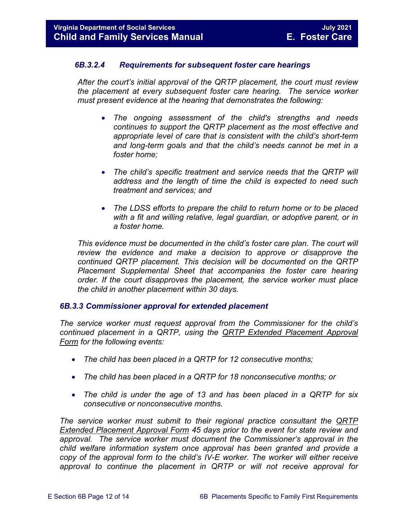#### <span id="page-11-0"></span>*6B.3.2.4 Requirements for subsequent foster care hearings*

*After the court's initial approval of the QRTP placement, the court must review the placement at every subsequent foster care hearing. The service worker must present evidence at the hearing that demonstrates the following:*

- *The ongoing assessment of the child's strengths and needs continues to support the QRTP placement as the most effective and appropriate level of care that is consistent with the child's short-term and long-term goals and that the child's needs cannot be met in a foster home;*
- *The child's specific treatment and service needs that the QRTP will address and the length of time the child is expected to need such treatment and services; and*
- *The LDSS efforts to prepare the child to return home or to be placed*  with a fit and willing relative, legal guardian, or adoptive parent, or in *a foster home.*

*This evidence must be documented in the child's foster care plan. The court will review the evidence and make a decision to approve or disapprove the continued QRTP placement. This decision will be documented on the QRTP Placement Supplemental Sheet that accompanies the foster care hearing order. If the court disapproves the placement, the service worker must place the child in another placement within 30 days.* 

#### <span id="page-11-1"></span>*6B.3.3 Commissioner approval for extended placement*

*The service worker must request approval from the Commissioner for the child's continued placement in a QRTP, using the QRTP Extended Placement Approval Form for the following events:* 

- *The child has been placed in a QRTP for 12 consecutive months;*
- *The child has been placed in a QRTP for 18 nonconsecutive months; or*
- *The child is under the age of 13 and has been placed in a QRTP for six consecutive or nonconsecutive months.*

*The service worker must submit to their regional practice consultant the QRTP Extended Placement Approval Form 45 days prior to the event for state review and approval. The service worker must document the Commissioner's approval in the child welfare information system once approval has been granted and provide a copy of the approval form to the child's IV-E worker. The worker will either receive approval to continue the placement in QRTP or will not receive approval for*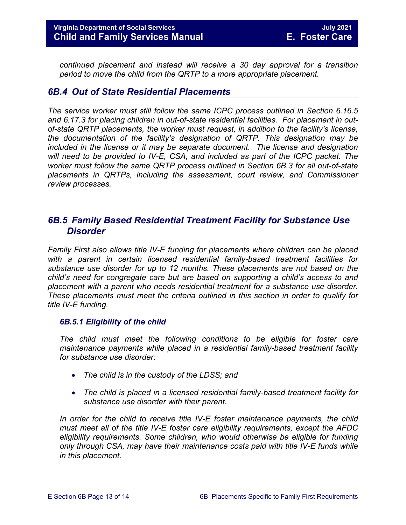*continued placement and instead will receive a 30 day approval for a transition period to move the child from the QRTP to a more appropriate placement.* 

# <span id="page-12-0"></span>*6B.4 Out of State Residential Placements*

*The service worker must still follow the same ICPC process outlined in Section 6.16.5 and 6.17.3 for placing children in out-of-state residential facilities. For placement in outof-state QRTP placements, the worker must request, in addition to the facility's license, the documentation of the facility's designation of QRTP. This designation may be included in the license or it may be separate document. The license and designation will need to be provided to IV-E, CSA, and included as part of the ICPC packet. The worker must follow the same QRTP process outlined in Section 6B.3 for all out-of-state placements in QRTPs, including the assessment, court review, and Commissioner review processes.* 

# <span id="page-12-1"></span>*6B.5 Family Based Residential Treatment Facility for Substance Use Disorder*

*Family First also allows title IV-E funding for placements where children can be placed with a parent in certain licensed residential family-based treatment facilities for substance use disorder for up to 12 months. These placements are not based on the child's need for congregate care but are based on supporting a child's access to and placement with a parent who needs residential treatment for a substance use disorder. These placements must meet the criteria outlined in this section in order to qualify for title IV-E funding.* 

#### <span id="page-12-2"></span>*6B.5.1 Eligibility of the child*

*The child must meet the following conditions to be eligible for foster care maintenance payments while placed in a residential family-based treatment facility for substance use disorder:* 

- *The child is in the custody of the LDSS; and*
- *The child is placed in a licensed residential family-based treatment facility for substance use disorder with their parent.*

In order for the child to receive title IV-E foster maintenance payments, the child *must meet all of the title IV-E foster care eligibility requirements, except the AFDC eligibility requirements. Some children, who would otherwise be eligible for funding only through CSA, may have their maintenance costs paid with title IV-E funds while in this placement.*